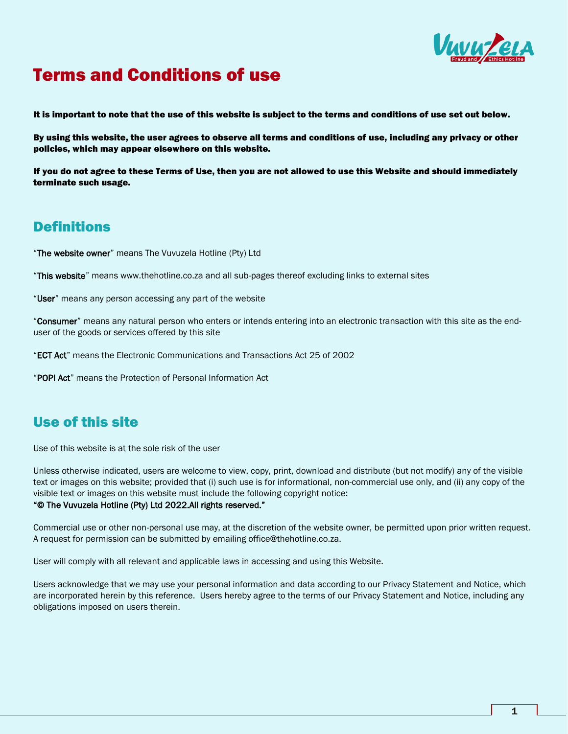

# Terms and Conditions of use

It is important to note that the use of this website is subject to the terms and conditions of use set out below.

By using this website, the user agrees to observe all terms and conditions of use, including any privacy or other policies, which may appear elsewhere on this website.

If you do not agree to these Terms of Use, then you are not allowed to use this Website and should immediately terminate such usage.

#### **Definitions**

"The website owner" means The Vuvuzela Hotline (Pty) Ltd

"This website" means www.thehotline.co.za and all sub-pages thereof excluding links to external sites

"User" means any person accessing any part of the website

"Consumer" means any natural person who enters or intends entering into an electronic transaction with this site as the enduser of the goods or services offered by this site

"ECT Act" means the Electronic Communications and Transactions Act 25 of 2002

"POPI Act" means the Protection of Personal Information Act

#### Use of this site

Use of this website is at the sole risk of the user

Unless otherwise indicated, users are welcome to view, copy, print, download and distribute (but not modify) any of the visible text or images on this website; provided that (i) such use is for informational, non-commercial use only, and (ii) any copy of the visible text or images on this website must include the following copyright notice:

#### "© The Vuvuzela Hotline (Pty) Ltd 2022.All rights reserved."

Commercial use or other non-personal use may, at the discretion of the website owner, be permitted upon prior written request. A request for permission can be submitted by emailing [office@thehotline.co.za.](mailto:office@thehotline.co.za)

User will comply with all relevant and applicable laws in accessing and using this Website.

Users acknowledge that we may use your personal information and data according to our Privacy Statement and Notice, which are incorporated herein by this reference. Users hereby agree to the terms of our Privacy Statement and Notice, including any obligations imposed on users therein.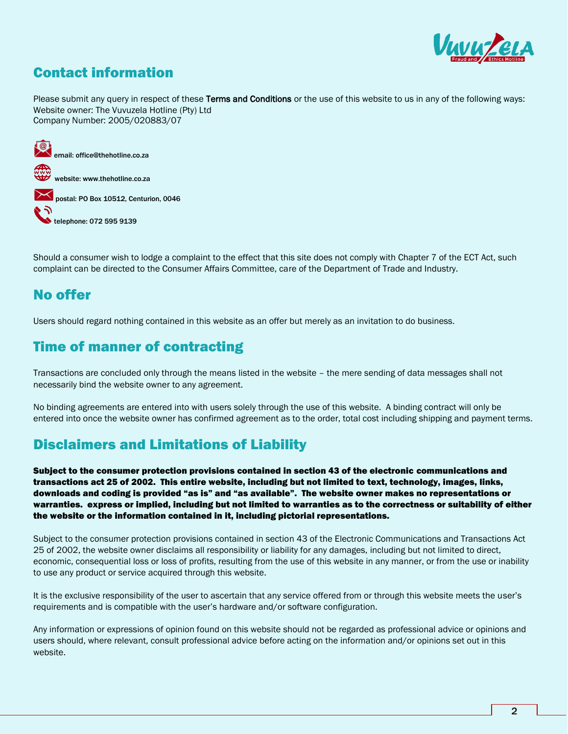

### Contact information

Please submit any query in respect of these Terms and Conditions or the use of this website to us in any of the following ways: Website owner: The Vuvuzela Hotline (Pty) Ltd Company Number: 2005/020883/07



Should a consumer wish to lodge a complaint to the effect that this site does not comply with Chapter 7 of the ECT Act, such complaint can be directed to the Consumer Affairs Committee, care of the Department of Trade and Industry.

#### No offer

Users should regard nothing contained in this website as an offer but merely as an invitation to do business.

#### Time of manner of contracting

Transactions are concluded only through the means listed in the website – the mere sending of data messages shall not necessarily bind the website owner to any agreement.

No binding agreements are entered into with users solely through the use of this website. A binding contract will only be entered into once the website owner has confirmed agreement as to the order, total cost including shipping and payment terms.

### Disclaimers and Limitations of Liability

Subject to the consumer protection provisions contained in section 43 of the electronic communications and transactions act 25 of 2002. This entire website, including but not limited to text, technology, images, links, downloads and coding is provided "as is" and "as available". The website owner makes no representations or warranties. express or implied, including but not limited to warranties as to the correctness or suitability of either the website or the information contained in it, including pictorial representations.

Subject to the consumer protection provisions contained in section 43 of the Electronic Communications and Transactions Act 25 of 2002, the website owner disclaims all responsibility or liability for any damages, including but not limited to direct, economic, consequential loss or loss of profits, resulting from the use of this website in any manner, or from the use or inability to use any product or service acquired through this website.

It is the exclusive responsibility of the user to ascertain that any service offered from or through this website meets the user's requirements and is compatible with the user's hardware and/or software configuration.

Any information or expressions of opinion found on this website should not be regarded as professional advice or opinions and users should, where relevant, consult professional advice before acting on the information and/or opinions set out in this website.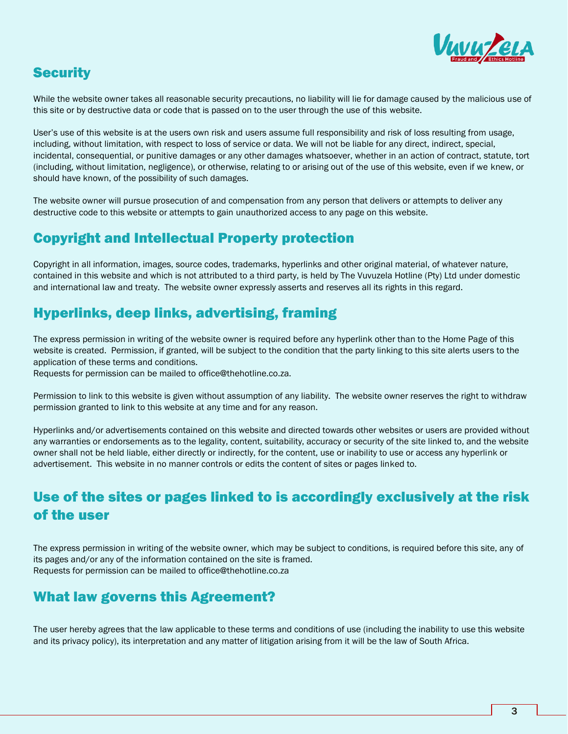

#### **Security**

While the website owner takes all reasonable security precautions, no liability will lie for damage caused by the malicious use of this site or by destructive data or code that is passed on to the user through the use of this website.

User's use of this website is at the users own risk and users assume full responsibility and risk of loss resulting from usage, including, without limitation, with respect to loss of service or data. We will not be liable for any direct, indirect, special, incidental, consequential, or punitive damages or any other damages whatsoever, whether in an action of contract, statute, tort (including, without limitation, negligence), or otherwise, relating to or arising out of the use of this website, even if we knew, or should have known, of the possibility of such damages.

The website owner will pursue prosecution of and compensation from any person that delivers or attempts to deliver any destructive code to this website or attempts to gain unauthorized access to any page on this website.

#### Copyright and Intellectual Property protection

Copyright in all information, images, source codes, trademarks, hyperlinks and other original material, of whatever nature, contained in this website and which is not attributed to a third party, is held by The Vuvuzela Hotline (Pty) Ltd under domestic and international law and treaty. The website owner expressly asserts and reserves all its rights in this regard.

### Hyperlinks, deep links, advertising, framing

The express permission in writing of the website owner is required before any hyperlink other than to the Home Page of this website is created. Permission, if granted, will be subject to the condition that the party linking to this site alerts users to the application of these terms and conditions.

Requests for permission can be mailed to office@thehotline.co.za.

Permission to link to this website is given without assumption of any liability. The website owner reserves the right to withdraw permission granted to link to this website at any time and for any reason.

Hyperlinks and/or advertisements contained on this website and directed towards other websites or users are provided without any warranties or endorsements as to the legality, content, suitability, accuracy or security of the site linked to, and the website owner shall not be held liable, either directly or indirectly, for the content, use or inability to use or access any hyperlink or advertisement. This website in no manner controls or edits the content of sites or pages linked to.

## Use of the sites or pages linked to is accordingly exclusively at the risk of the user

The express permission in writing of the website owner, which may be subject to conditions, is required before this site, any of its pages and/or any of the information contained on the site is framed. Requests for permission can be mailed to office@thehotline.co.za

#### What law governs this Agreement?

The user hereby agrees that the law applicable to these terms and conditions of use (including the inability to use this website and its privacy policy), its interpretation and any matter of litigation arising from it will be the law of South Africa.